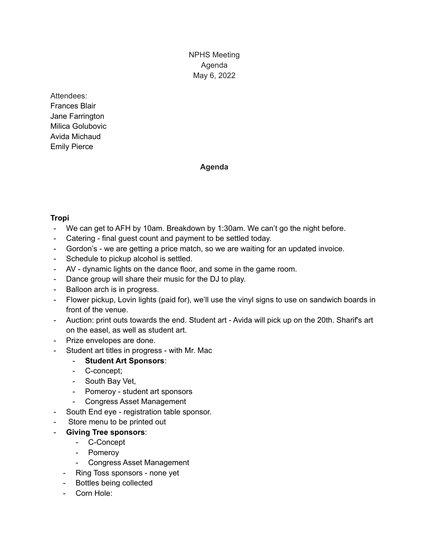NPHS Meeting Agenda May 6, 2022

## Attendees: Frances Blair Jane Farrington Milica Golubovic Avida Michaud Emily Pierce

# **Agenda**

# **Tropi**

- We can get to AFH by 10am. Breakdown by 1:30am. We can't go the night before.
- Catering final guest count and payment to be settled today.
- Gordon's we are getting a price match, so we are waiting for an updated invoice.
- Schedule to pickup alcohol is settled.
- AV dynamic lights on the dance floor, and some in the game room.
- Dance group will share their music for the DJ to play.
- Balloon arch is in progress.
- Flower pickup, Lovin lights (paid for), we'll use the vinyl signs to use on sandwich boards in front of the venue.
- Auction: print outs towards the end. Student art Avida will pick up on the 20th. Sharif's art on the easel, as well as student art.
- Prize envelopes are done.
- Student art titles in progress with Mr. Mac
	- **Student Art Sponsors**:
	- C-concept;
	- South Bay Vet,
	- Pomeroy student art sponsors
	- Congress Asset Management
- South End eye registration table sponsor.
- Store menu to be printed out
- **Giving Tree sponsors**:
	- C-Concept
	- Pomeroy
	- Congress Asset Management
	- Ring Toss sponsors none yet
	- Bottles being collected
	- Corn Hole: